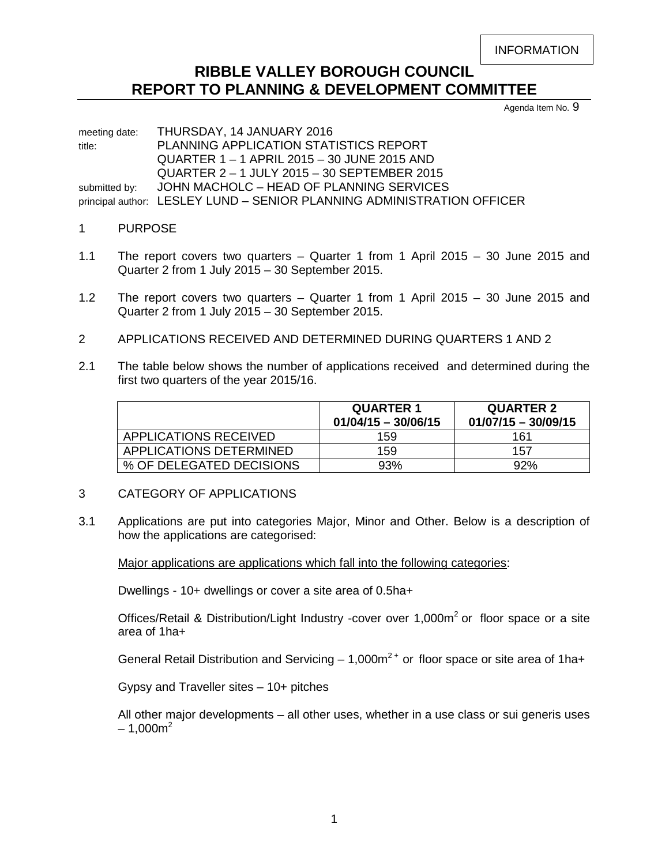```
INFORMATION
```
# **RIBBLE VALLEY BOROUGH COUNCIL REPORT TO PLANNING & DEVELOPMENT COMMITTEE**

Agenda Item No. 9

meeting date: THURSDAY, 14 JANUARY 2016 title: PLANNING APPLICATION STATISTICS REPORT QUARTER 1 – 1 APRIL 2015 – 30 JUNE 2015 AND QUARTER 2 – 1 JULY 2015 – 30 SEPTEMBER 2015 submitted by: JOHN MACHOLC - HEAD OF PLANNING SERVICES principal author: LESLEY LUND – SENIOR PLANNING ADMINISTRATION OFFICER

## 1 PURPOSE

- 1.1 The report covers two quarters Quarter 1 from 1 April 2015 30 June 2015 and Quarter 2 from 1 July 2015 – 30 September 2015.
- 1.2 The report covers two quarters Quarter 1 from 1 April 2015 30 June 2015 and Quarter 2 from 1 July 2015 – 30 September 2015.
- 2 APPLICATIONS RECEIVED AND DETERMINED DURING QUARTERS 1 AND 2
- 2.1 The table below shows the number of applications received and determined during the first two quarters of the year 2015/16.

|                          | <b>QUARTER 1</b><br>$01/04/15 - 30/06/15$ | <b>QUARTER 2</b><br>$01/07/15 - 30/09/15$ |  |
|--------------------------|-------------------------------------------|-------------------------------------------|--|
| APPLICATIONS RECEIVED    | 159                                       | 161                                       |  |
| APPLICATIONS DETERMINED  | 159                                       | 157                                       |  |
| % OF DELEGATED DECISIONS | 93%                                       | 92%                                       |  |

- 3 CATEGORY OF APPLICATIONS
- 3.1 Applications are put into categories Major, Minor and Other. Below is a description of how the applications are categorised:

Major applications are applications which fall into the following categories:

Dwellings - 10+ dwellings or cover a site area of 0.5ha+

Offices/Retail & Distribution/Light Industry -cover over  $1,000m^2$  or floor space or a site area of 1ha+

General Retail Distribution and Servicing  $-1,000m^2$  or floor space or site area of 1 ha+

Gypsy and Traveller sites – 10+ pitches

All other major developments – all other uses, whether in a use class or sui generis uses  $-1,000m^2$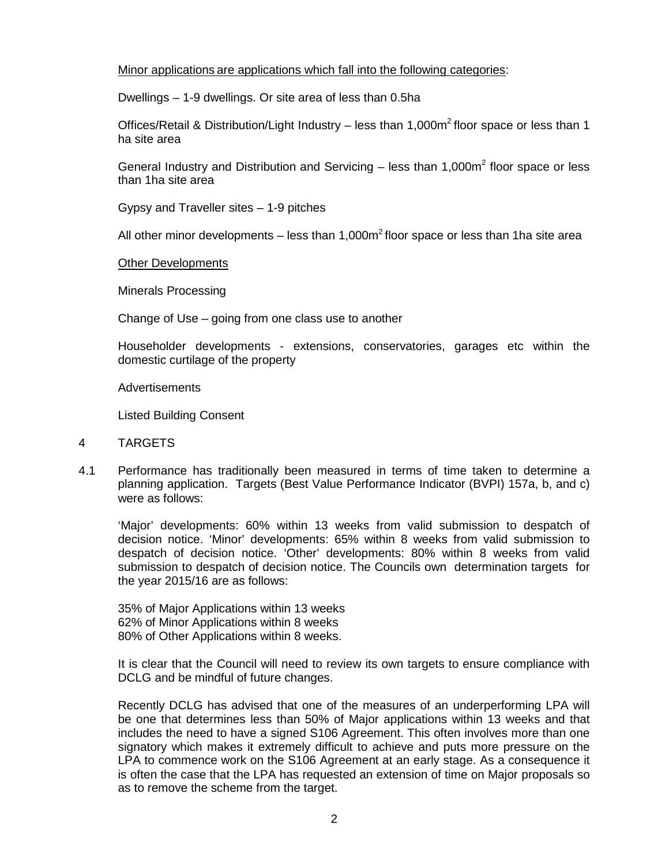# Minor applications are applications which fall into the following categories:

Dwellings – 1-9 dwellings. Or site area of less than 0.5ha

Offices/Retail & Distribution/Light Industry – less than 1,000 $m^2$  floor space or less than 1 ha site area

General Industry and Distribution and Servicing  $-$  less than 1,000 $m<sup>2</sup>$  floor space or less than 1ha site area

Gypsy and Traveller sites – 1-9 pitches

All other minor developments – less than 1,000 $m<sup>2</sup>$  floor space or less than 1ha site area

## Other Developments

Minerals Processing

Change of Use – going from one class use to another

Householder developments - extensions, conservatories, garages etc within the domestic curtilage of the property

Advertisements

Listed Building Consent

#### 4 TARGETS

4.1 Performance has traditionally been measured in terms of time taken to determine a planning application. Targets (Best Value Performance Indicator (BVPI) 157a, b, and c) were as follows:

'Major' developments: 60% within 13 weeks from valid submission to despatch of decision notice. 'Minor' developments: 65% within 8 weeks from valid submission to despatch of decision notice. 'Other' developments: 80% within 8 weeks from valid submission to despatch of decision notice. The Councils own determination targets for the year 2015/16 are as follows:

35% of Major Applications within 13 weeks 62% of Minor Applications within 8 weeks 80% of Other Applications within 8 weeks.

It is clear that the Council will need to review its own targets to ensure compliance with DCLG and be mindful of future changes.

Recently DCLG has advised that one of the measures of an underperforming LPA will be one that determines less than 50% of Major applications within 13 weeks and that includes the need to have a signed S106 Agreement. This often involves more than one signatory which makes it extremely difficult to achieve and puts more pressure on the LPA to commence work on the S106 Agreement at an early stage. As a consequence it is often the case that the LPA has requested an extension of time on Major proposals so as to remove the scheme from the target.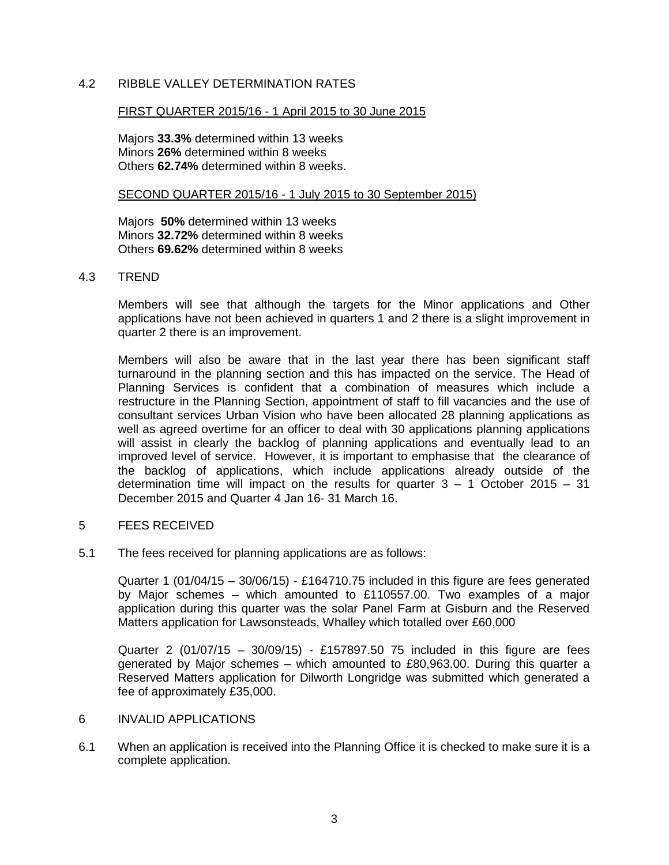# 4.2 RIBBLE VALLEY DETERMINATION RATES

#### FIRST QUARTER 2015/16 - 1 April 2015 to 30 June 2015

Majors **33.3%** determined within 13 weeks Minors **26%** determined within 8 weeks Others **62.74%** determined within 8 weeks.

#### SECOND QUARTER 2015/16 - 1 July 2015 to 30 September 2015)

Majors **50%** determined within 13 weeks Minors **32.72%** determined within 8 weeks Others **69.62%** determined within 8 weeks

## 4.3 TREND

Members will see that although the targets for the Minor applications and Other applications have not been achieved in quarters 1 and 2 there is a slight improvement in quarter 2 there is an improvement.

Members will also be aware that in the last year there has been significant staff turnaround in the planning section and this has impacted on the service. The Head of Planning Services is confident that a combination of measures which include a restructure in the Planning Section, appointment of staff to fill vacancies and the use of consultant services Urban Vision who have been allocated 28 planning applications as well as agreed overtime for an officer to deal with 30 applications planning applications will assist in clearly the backlog of planning applications and eventually lead to an improved level of service. However, it is important to emphasise that the clearance of the backlog of applications, which include applications already outside of the determination time will impact on the results for quarter  $3 - 1$  October 2015 – 31 December 2015 and Quarter 4 Jan 16- 31 March 16.

## 5 FEES RECEIVED

5.1 The fees received for planning applications are as follows:

Quarter 1 (01/04/15 – 30/06/15) - £164710.75 included in this figure are fees generated by Major schemes – which amounted to £110557.00. Two examples of a major application during this quarter was the solar Panel Farm at Gisburn and the Reserved Matters application for Lawsonsteads, Whalley which totalled over £60,000

Quarter 2 (01/07/15 – 30/09/15) - £157897.50 75 included in this figure are fees generated by Major schemes – which amounted to £80,963.00. During this quarter a Reserved Matters application for Dilworth Longridge was submitted which generated a fee of approximately £35,000.

#### 6 INVALID APPLICATIONS

6.1 When an application is received into the Planning Office it is checked to make sure it is a complete application.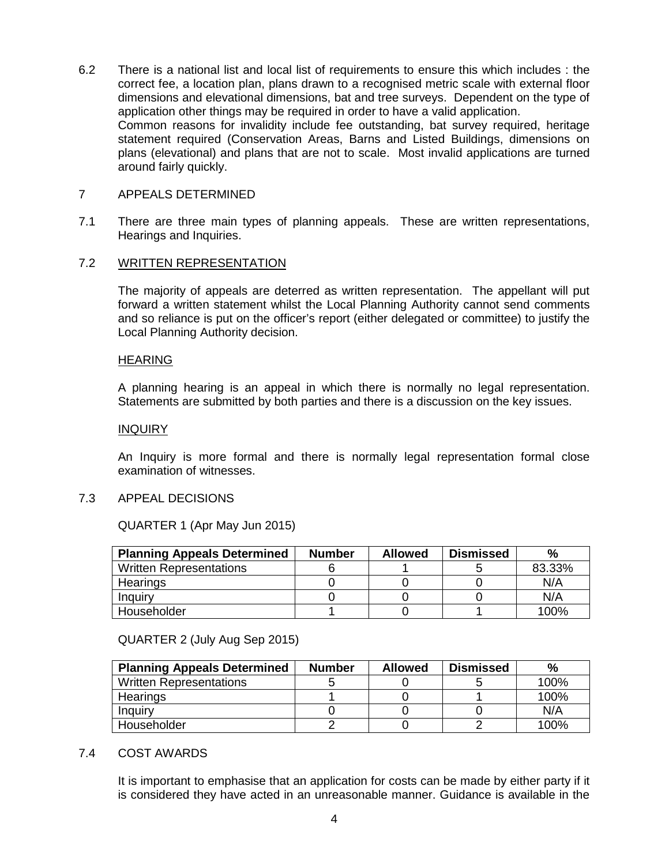6.2 There is a national list and local list of requirements to ensure this which includes : the correct fee, a location plan, plans drawn to a recognised metric scale with external floor dimensions and elevational dimensions, bat and tree surveys. Dependent on the type of application other things may be required in order to have a valid application. Common reasons for invalidity include fee outstanding, bat survey required, heritage statement required (Conservation Areas, Barns and Listed Buildings, dimensions on plans (elevational) and plans that are not to scale. Most invalid applications are turned around fairly quickly.

# 7 APPEALS DETERMINED

7.1 There are three main types of planning appeals. These are written representations, Hearings and Inquiries.

# 7.2 WRITTEN REPRESENTATION

The majority of appeals are deterred as written representation. The appellant will put forward a written statement whilst the Local Planning Authority cannot send comments and so reliance is put on the officer's report (either delegated or committee) to justify the Local Planning Authority decision.

## HEARING

A planning hearing is an appeal in which there is normally no legal representation. Statements are submitted by both parties and there is a discussion on the key issues.

## INQUIRY

An Inquiry is more formal and there is normally legal representation formal close examination of witnesses.

## 7.3 APPEAL DECISIONS

QUARTER 1 (Apr May Jun 2015)

| <b>Planning Appeals Determined</b> | <b>Number</b> | <b>Allowed</b> | <b>Dismissed</b> | %      |
|------------------------------------|---------------|----------------|------------------|--------|
| <b>Written Representations</b>     |               |                |                  | 83.33% |
| Hearings                           |               |                |                  | N/A    |
| Inquiry                            |               |                |                  | N/A    |
| Householder                        |               |                |                  | 100%   |

QUARTER 2 (July Aug Sep 2015)

| <b>Planning Appeals Determined</b> | <b>Number</b> | <b>Allowed</b> | <b>Dismissed</b> | %    |
|------------------------------------|---------------|----------------|------------------|------|
| <b>Written Representations</b>     |               |                |                  | 100% |
| Hearings                           |               |                |                  | 100% |
| Inquiry                            |               |                |                  | N/A  |
| Householder                        |               |                |                  | 100% |

## 7.4 COST AWARDS

It is important to emphasise that an application for costs can be made by either party if it is considered they have acted in an unreasonable manner. Guidance is available in the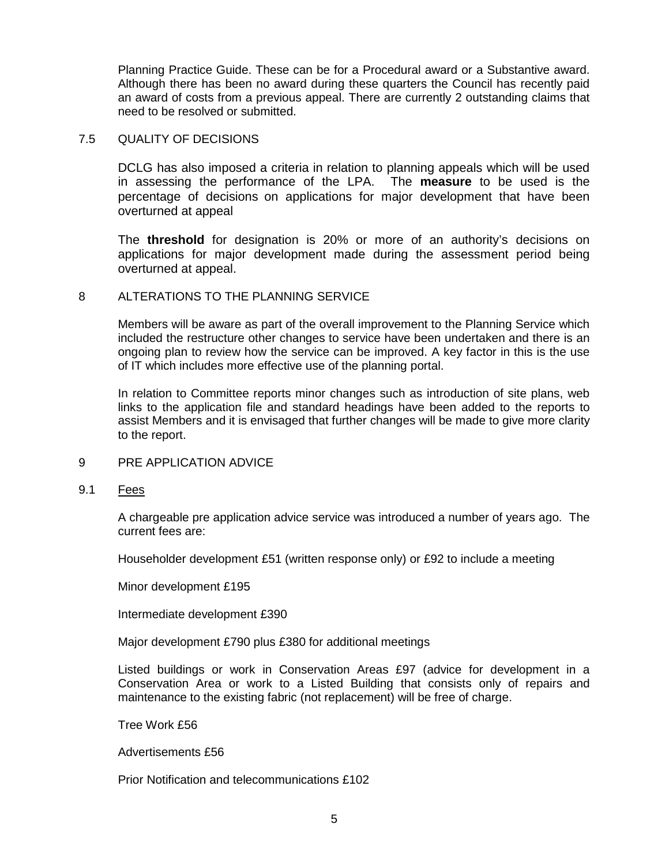Planning Practice Guide. These can be for a Procedural award or a Substantive award. Although there has been no award during these quarters the Council has recently paid an award of costs from a previous appeal. There are currently 2 outstanding claims that need to be resolved or submitted.

## 7.5 QUALITY OF DECISIONS

DCLG has also imposed a criteria in relation to planning appeals which will be used in assessing the performance of the LPA. The **measure** to be used is the percentage of decisions on applications for major development that have been overturned at appeal

The **threshold** for designation is 20% or more of an authority's decisions on applications for major development made during the assessment period being overturned at appeal.

# 8 ALTERATIONS TO THE PLANNING SERVICE

Members will be aware as part of the overall improvement to the Planning Service which included the restructure other changes to service have been undertaken and there is an ongoing plan to review how the service can be improved. A key factor in this is the use of IT which includes more effective use of the planning portal.

In relation to Committee reports minor changes such as introduction of site plans, web links to the application file and standard headings have been added to the reports to assist Members and it is envisaged that further changes will be made to give more clarity to the report.

- 9 PRE APPLICATION ADVICE
- 9.1 Fees

A chargeable pre application advice service was introduced a number of years ago. The current fees are:

Householder development £51 (written response only) or £92 to include a meeting

Minor development £195

Intermediate development £390

Major development £790 plus £380 for additional meetings

Listed buildings or work in Conservation Areas £97 (advice for development in a Conservation Area or work to a Listed Building that consists only of repairs and maintenance to the existing fabric (not replacement) will be free of charge.

Tree Work £56

Advertisements £56

Prior Notification and telecommunications £102